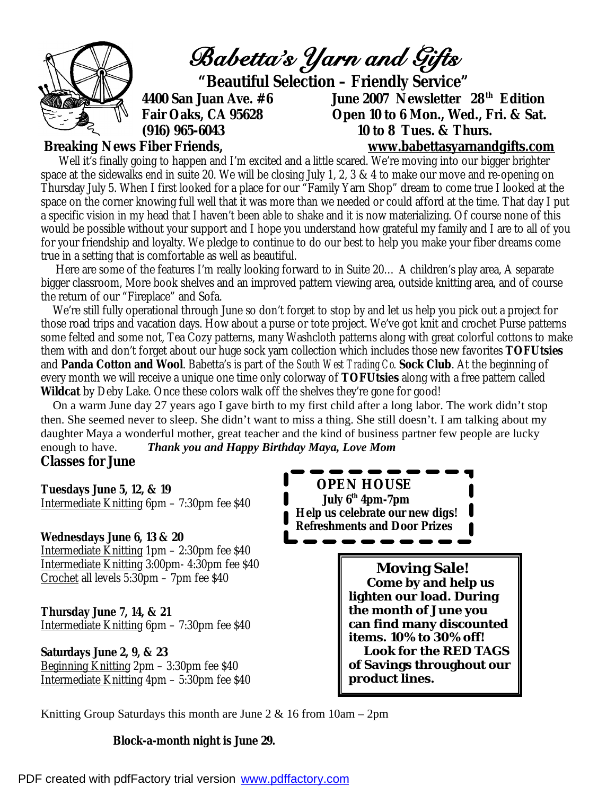

Well it's finally going to happen and I'm excited and a little scared. We're moving into our bigger brighter space at the sidewalks end in suite 20. We will be closing July 1, 2, 3 & 4 to make our move and re-opening on Thursday July 5. When I first looked for a place for our "Family Yarn Shop" dream to come true I looked at the space on the corner knowing full well that it was more than we needed or could afford at the time. That day I put a specific vision in my head that I haven't been able to shake and it is now materializing. Of course none of this would be possible without your support and I hope you understand how grateful my family and I are to all of you for your friendship and loyalty. We pledge to continue to do our best to help you make your fiber dreams come true in a setting that is comfortable as well as beautiful.

 Here are some of the features I'm really looking forward to in Suite 20… A children's play area, A separate bigger classroom, More book shelves and an improved pattern viewing area, outside knitting area, and of course the return of our "Fireplace" and Sofa.

 We're still fully operational through June so don't forget to stop by and let us help you pick out a project for those road trips and vacation days. How about a purse or tote project. We've got knit and crochet Purse patterns some felted and some not, Tea Cozy patterns, many Washcloth patterns along with great colorful cottons to make them with and don't forget about our huge sock yarn collection which includes those new favorites **TOFUtsies**  and **Panda Cotton and Wool**. Babetta's is part of the *South West Trading Co.* **Sock Club**. At the beginning of every month we will receive a unique one time only colorway of **TOFUtsies** along with a free pattern called **Wildcat** by Deby Lake. Once these colors walk off the shelves they're gone for good!

 On a warm June day 27 years ago I gave birth to my first child after a long labor. The work didn't stop then. She seemed never to sleep. She didn't want to miss a thing. She still doesn't. I am talking about my daughter Maya a wonderful mother, great teacher and the kind of business partner few people are lucky enough to have. *Thank you and Happy Birthday Maya, Love Mom* 

# **Classes for June**

**Tuesdays June 5, 12, & 19**  Intermediate Knitting 6pm – 7:30pm fee \$40

#### **Wednesdays June 6, 13 & 20**

Intermediate Knitting 1pm – 2:30pm fee \$40 Intermediate Knitting 3:00pm- 4:30pm fee \$40 Crochet all levels 5:30pm – 7pm fee \$40

### **Thursday June 7, 14, & 21**  Intermediate Knitting 6pm – 7:30pm fee \$40

**Saturdays June 2, 9, & 23**  Beginning Knitting 2pm – 3:30pm fee \$40 Intermediate Knitting 4pm – 5:30pm fee \$40

 **OPEN HOUSE July 6th 4pm-7pm Help us celebrate our new digs! Refreshments and Door Prizes**

> **Moving Sale! Come by and help us lighten our load. During the month of June you can find many discounted items. 10% to 30% off! Look for the RED TAGS of Savings throughout our product lines.**

Knitting Group Saturdays this month are June  $2 \& 16$  from  $10 \text{am} - 2 \text{pm}$ 

#### **Block-a-month night is June 29.**